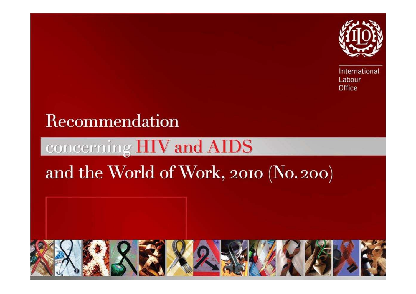

International Labour Office

### Recommendation

#### **Vand AIDS** cerning

## and the World of Work, 2010 (No. 200)

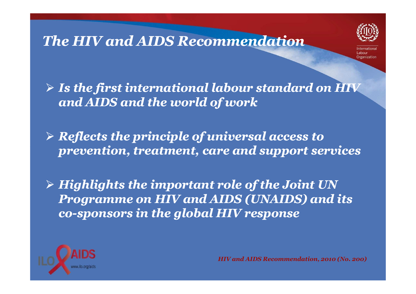#### *The HIV and AIDS Recommendation*



 *Is the first international labour standard on HIV and AIDS and the world of work*

 *Reflects the principle of universal access to prevention, treatment, care and support services*

 *Highlights the important role of the Joint UN Programme on HIV and AIDS (UNAIDS) and its co-sponsors in the global HIV response sponsors global* 

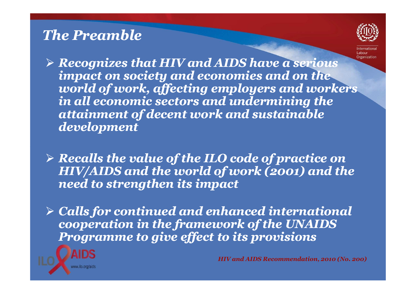#### *The Preamble*



 *Recognizes that HIV and AIDS have a serious impact on society and economies and on the world of work, affecting employers and workers in all economic sectors and undermining the attainment of decent work and sustainable development*

 *Recalls the value of the ILO code of practice on HIV/AIDS and the world of work (2001) and the need to strengthen its impact* 

 *Calls for continued and enhanced international cooperation in the framework of the UNAIDS Programme to give effect to its provisions*

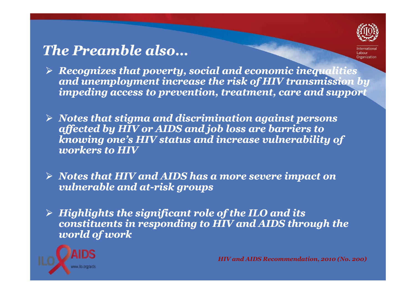### *The Preamble also…*



- *Recognizes that poverty, social and economic inequalities and unemployment increase the risk of HIV transmission by impeding access to prevention, treatment, care and support*
- *Notes that stigma and discrimination against persons affected by HIV or AIDS and job loss are barriers to knowing one's HIV status and increase vulnerability of workers to HIV*
- *Notes that HIV and AIDS has a more severe impact on vulnerable and at at-risk groups risk*
- *Highlights the significant role of the ILO and its constituents in responding to HIV and AIDS through the world of work*

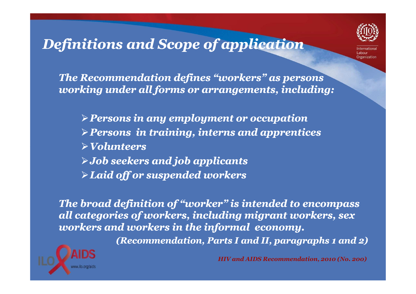

## *Definitions and S Scope of application cope*

*The Recommendation defines "workers" as persons working under all forms or arrangements, including:*

*Persons in any employment or occupation Persons in training, interns and apprentices Volunteers Job seekers and job applicants Laid off or suspended workers*

*The broad definition of "worker" is intended to encompass all categories of workers, including migrant workers, sex workers and workers in the informal economy.*

*(Recommendation, Parts I and II, paragraphs 1 and 2)*

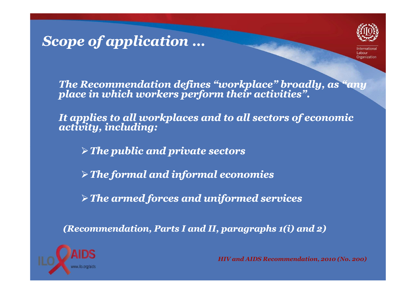# *Scope of application cope …*



*The Recommendation defines "workplace" broadly, as "any place in which workers perform their activities".* 

*It applies to all workplaces and to all sectors of economic activity, including:*

*The public and private sectors*

*The formal and informal economies*

*The armed forces and uniformed services*

*(Recommendation, Parts I and II, paragraphs 1(i) and 2)* 

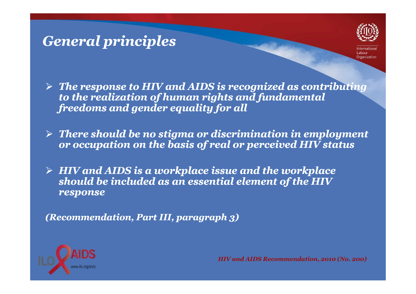#### *General principles*



- *The response to HIV and AIDS is recognized as contributing to the realization of human rights and fundamental freedoms and gender equality for all*
- *There should be no stigma or discrimination in employment or occupation on the basis of real or perceived HIV status*
- *HIV and AIDS is a workplace issue and the workplace should be included as an essential element of the HIV response*

*(Recommendation, Part III, paragraph 3)*

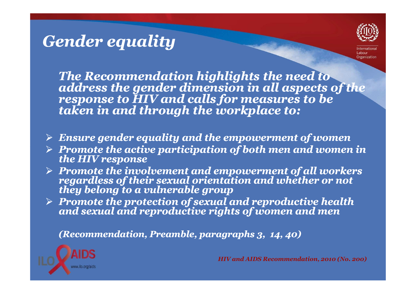### *Gender equality*



*The Recommendation highlights the need to address the gender dimension in all aspects of the response to HIV and calls for measures to be taken in and through the workplace to:* 

- *Ensure gender equality and the empowerment of women*
- *Promote the active participation of both men and women in the HIV response*
- $\triangleright$  -Promote the inve *Promotes involvement and empowerment of all workers regardless of their sexual orientation and whether or not*
- *Promote the protection of sexual and reproductive health and sexual and reproductive rights of women and men*

*(Recommendation, Preamble, paragraphs 3, 14, 40)*

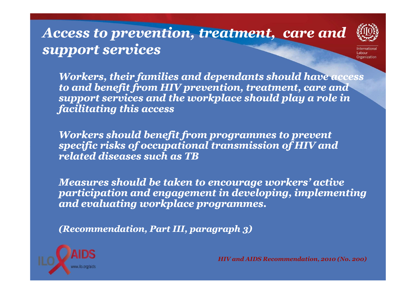### *Access to prevention, treatment, care and support services*



*Workers, their families and dependants should have access to and benefit from HIV prevention, treatment, care and support services and the workplace should play a role in facilitating this access* 

*Workers should benefit from programmes to prevent specific risks of occupational transmission of HIV and related diseases such as TB*

*Measures should be taken to encourage workers' active participation and engagement in developing, implementing and evaluating workplace programmes.* 

*(Recommendation, Part III, paragraph 3)*

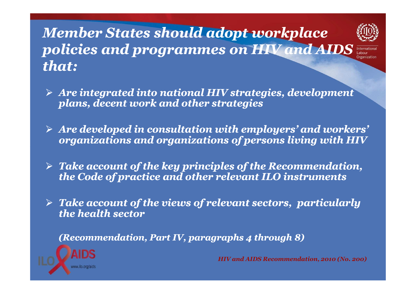### *Member States should adopt workplace policies and programmes on HIV and AIDS that:*



Internationa **Irganization** 

- *Are integrated into national HIV strategies, development plans, decent work and other strategies*
- *Are developed in consultation with employers' and workers' organizations and organizations of persons living with HIV*
- *Take account of the key principles of the Recommendation, the Code of practice and other relevant ILO instruments*
- *Take account of the views of relevant sectors, particularly the health sector*

*(Recommendation, Part IV, paragraphs 4 through 8)*

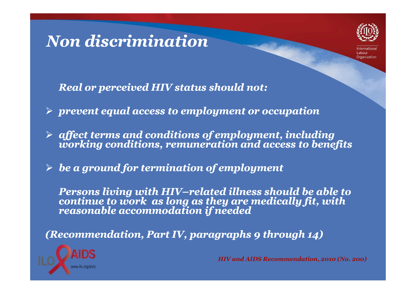### *Non discrimination*



*Real or perceived HIV status should not:* 

*prevent equal access to employment or occupation*

 $\triangleright$  affect terms and conditions of employment, including *afferenting conditions, remuneration and access to benefits* 

 $\blacktriangleright$ *be a ground for termination of employment*

*Persons living with HIV–related illness should be able to<br>continue to work as long as they are medically fit, with<br>reasonable accommodation if needed* 

*(Recommendation, Part IV, paragraphs 9 through 14)* 

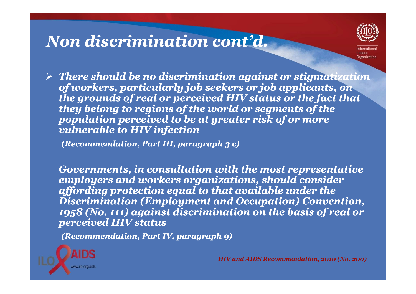### *Non discrimination cont'd.*



 *There should be no discrimination against or stigmatization of workers, particularly job seekers or job applicants, on the grounds of real or perceived HIV status or the fact that they belong to regions of the world or segments of the population perceived to be at greater risk of or more vulnerable to HIV infection*

*(Recommendation, Part III, paragraph 3 c)*

*Governments, in consultation with the most representative employers and workers organizations, should consider affording protection equal to that available under the Discrimination (Employment and Occupation) Convention, 1958 (No. 111) against discrimination on the basis of real or perceived HIV status*

*(Recommendation, Part IV, paragraph 9)*

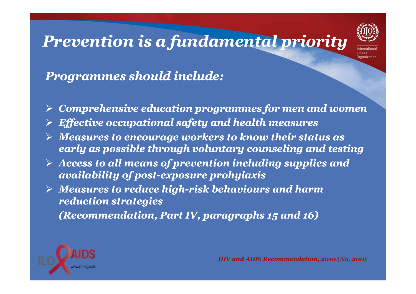### *Prevention is a fundamental priority*



#### *Programmes should include:*

- $\blacktriangleright$ *Comprehensive education programmes for men and wome n*
- *Effective occupational safety and health measures*
- *Measures to encourage workers to know their status as early as possible through voluntary counseling and testing*
- *Access to all means of prevention including supplies and availability of post post-exposure prohylaxis exposure*
- *Measures to reduce high high-risk behaviours and harm risk reduction strategies*

*(Recommendation, Part IV, paragraphs 15 and 16)*

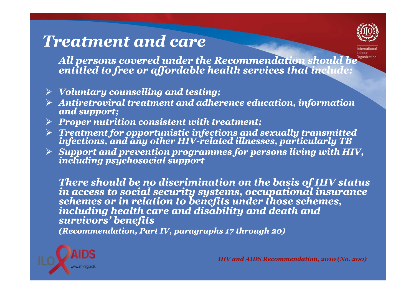### *Treatment and care*



*All persons covered under the Recommendation should be entitled to free or affordable health services that include:*

- *Voluntary counselling and testing;*
- *Antiretroviral treatment and adherence education, information and support;*
- *Proper nutrition consistent with treatment;*
- *Treatment for opportunistic infections and sexually transmitted infections, and any other HIVHIV-related illnesses, p related particularly TB articularly*
- *Support and prevention programmes for persons living with HIV, including psychosocial support*

There should be no discrimination on the basis of HIV status<br>in access to social security systems, occupational insurance<br>schemes or in relation to benefits under those schemes,<br>including health care and disability and dea *(Recommendation, Part IV, paragraphs 17 through 20)*

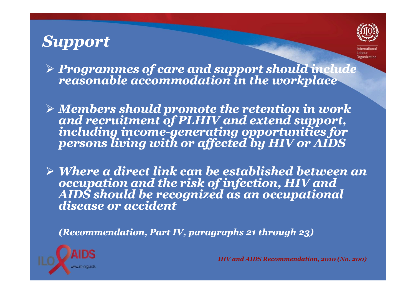### *Support*



*Programmes of care and support should include reasonable accommodation in the workplace*

 $\triangleright$  Members should promote the retention in work *Members should promote the retention in work and recruitment of PLHIV and extend support, including incomeincluding income-generating opportunities for*<br>persons living with or affected by HIV or AIDS

 *Where a direct link can be established between an occupation and the risk of infection, HIV and AIDS should be recognized as an occupational disease or accident*

*(Recommendation, Part IV, paragraphs 21 through 23)*

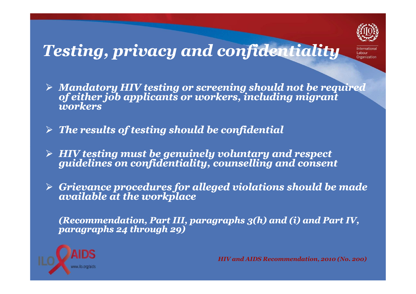

### *Testing, privacy and confidentiality*

- *Mandatory HIV testing or screening should not be required of either job applicants or workers, including migrant workers*
- $\blacktriangleright$ *The results of testing should be confidential*
- $\blacktriangleright$ *HIV testing must be genuinely voluntary and respect guidelines on confidentiality, counselling and consent*
- *Grievance procedures for alleged violations should be made available at the workplace*

*(Recommendation, Part III, paragraphs 3(h) and (i) and Part IV, paragraphs 24 through 29)* 

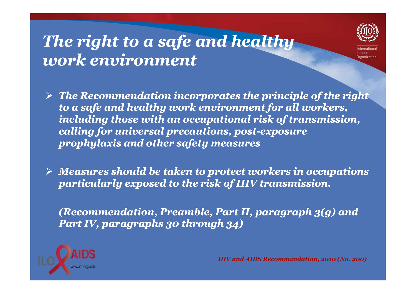### *The right to a safe and healthy work environment*



- *The Recommendation incorporates the principle of the right to a safe and healthy work environment for all workers, including those with an occupational risk of transmission, calling for universal precautions, post post-exposure exposure prophylaxis and other safety measures*
- *Measures should be taken to protect workers in occupations particularly exposed to the risk of HIV transmission.*

*(Recommendation, Preamble, Part II, paragraph 3(g) and Part IV, paragraphs 30 through 34)* 

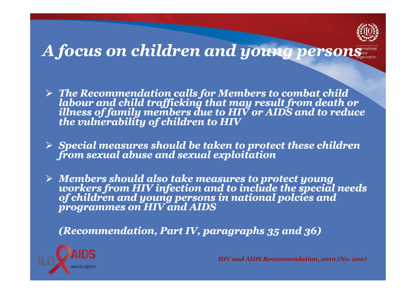

### *A focus on children and young persons*

- $\triangleright$  The Recommendation calls for Members to combat child *The Record child trafficking that may result from death or illness of family members due to HIV or AIDS and to reduce the vulnerability of children to HIV*
- *Special measures should be taken to protect these children from sexual abuse and sexual exploitation*
- $\triangleright$  Members should also take measures to protect young *Members from HIV infection and to include the special needs of children and young persons in national polcies and programmes on HIV and AIDS*

*(Recommendation, Part IV, paragraphs 35 and 36)* 

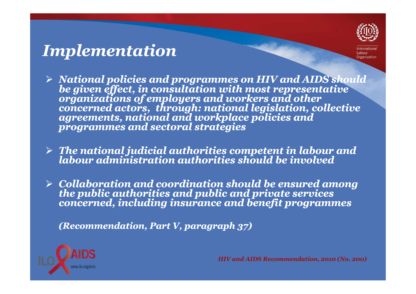### *Implementation*

- $\triangleright$  National policies and programmes on HIV and AIDS should be given effect, in consultation with most representative<br>organizations of employers and workers and other<br>concerned actors, through: national legislation, collective<br>agreements, national and workplace policies and<br>program
- *The national judicial authorities competent in labour and labour administration authorities should be involved*
- *Collaboration and coordination should be ensured among the public authorities and public and private services concerned, including insurance and benefit programmes*

*(Recommendation, Part V, paragraph 37)*

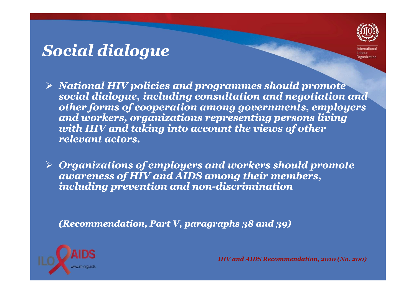### *Social dialogue*



- *National HIV policies and programmes should promote social dialogue, including consultation and negotiation and other forms of cooperation among governments, employers and workers, organizations representing persons living with HIV and taking into account the views of otherrelevant actors.*
- *Organizations of employers and workers should promote awareness of HIV and AIDS among their members, including prevention and non non-discrimination discrimination*

*(Recommendation, Part V, paragraphs 38 and 39)*

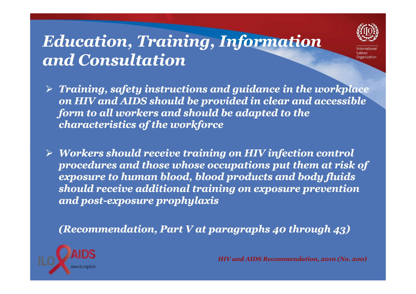### *Education, Training, Information and Consultation*



 *Training, safety instructions and guidance in the workplace on HIV and AIDS should be provided in clear and accessible form to all workers and should be adapted to the characteristics of the workforce*

 $\blacktriangleright$  *Workers should receive training on HIV infection control procedures and those whose occupations put them at risk of exposure to human blood, blood products and body fluids should receive additional training on exposure prevention and post post-exposure prophylaxis exposure* 

*(Recommendation, Part V at paragraphs 40 through 43)* 

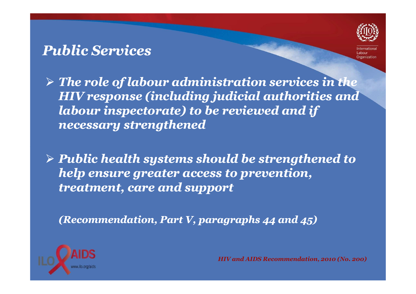#### *Public Services*



 *The role of labour administration services in the HIV response (including judicial authorities and labour inspectorate) to be reviewed and if necessary strengthened*

 *Public health systems should be strengthened to help ensure greater access to prevention, treatment, care and support*

*(Recommendation, Part V, paragraphs 44 and 45)* 

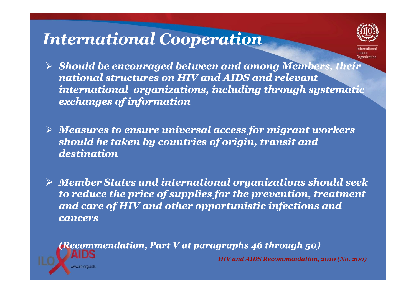### *International Cooperation*



- *Should be encouraged between and among Members, their national structures on HIV and AIDS and relevant international organizations, including through systematic exchanges of information*
- *Measures to ensure universal access for migrant workers should be taken by countries of origin, transit anddestination*
- *Member States and international organizations should seek to reduce the price of supplies for the prevention, treatment and care of HIV and other opportunistic infections and cancers*

*(Recommendation, Part V at paragraphs 46 through 50) HIV and AIDS Recommendation, 2010 (No. 200)*